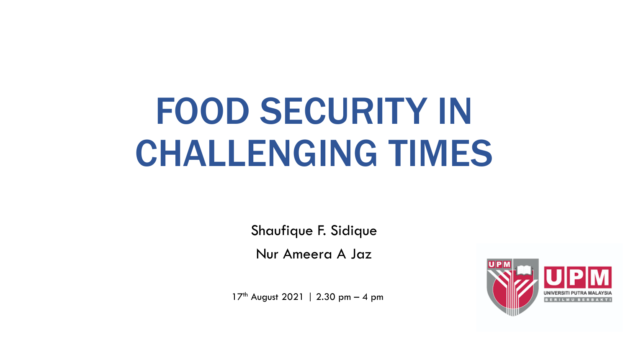# FOOD SECURITY IN CHALLENGING TIMES

Shaufique F. Sidique

Nur Ameera A Jaz

17<sup>th</sup> August 2021 | 2.30 pm - 4 pm

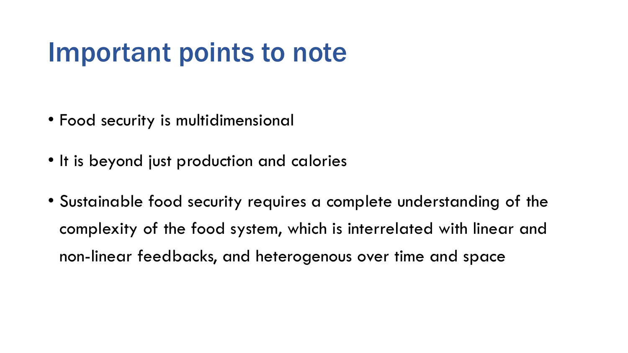#### Important points to note

- Food security is multidimensional
- It is beyond just production and calories
- Sustainable food security requires a complete understanding of the complexity of the food system, which is interrelated with linear and non-linear feedbacks, and heterogenous over time and space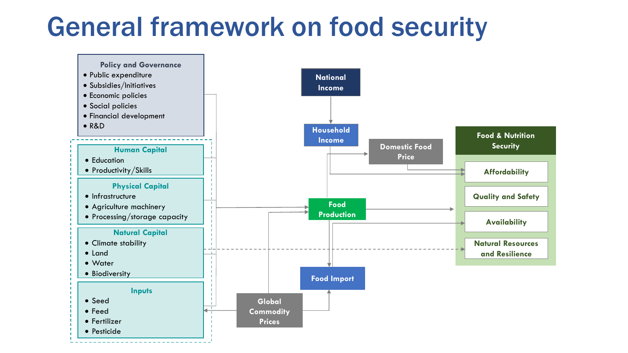#### General framework on food security

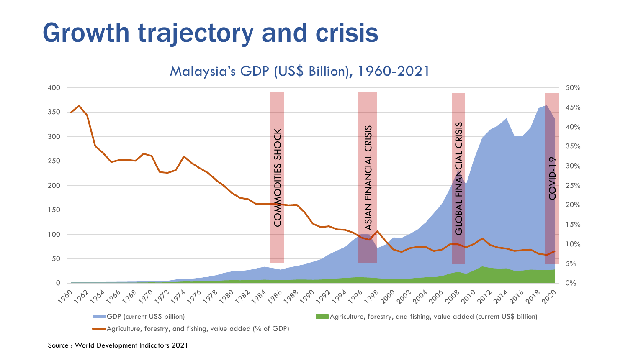#### Growth trajectory and crisis

Malaysia's GDP (US\$ Billion), 1960-2021 400 50% 45% 350 CRISIS GLOBAL FINANCIAL CRISIS40% **ASIAN FINANCIAL CRISIS** ASIAN FINANCIAL CRISIS COMMODITIES SHOCK SHOCK 300 35% **GLOBAL FINANCIAL** 250 I-divo: 30% **ODITIES** 200 25% 20%  $\overline{\xi}$ 150 15% 100 10% 50 5% 0% 0 1962 1964 1969 1979 1979 1979 1979 1989 1982 1984 1986 1989 1999 1994 1996 1999 1999 1906 1906 1908 1919 1919 1919 1919 1919  $960$ GDP (current US\$ billion) Agriculture, forestry, and fishing, value added (current US\$ billion)

#### Source : World Development Indicators 2021

Agriculture, forestry, and fishing, value added (% of GDP)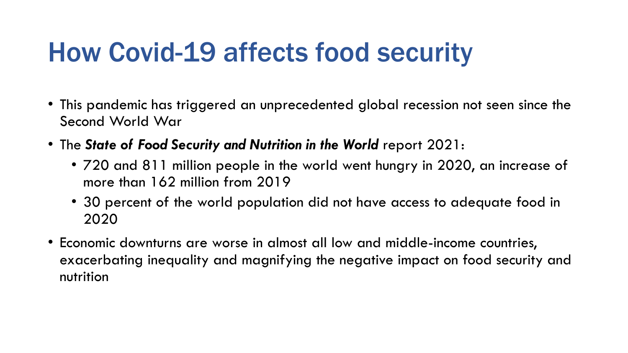#### How Covid-19 affects food security

- This pandemic has triggered an unprecedented global recession not seen since the Second World War
- The *State of Food Security and Nutrition in the World* report 2021:
	- 720 and 811 million people in the world went hungry in 2020, an increase of more than 162 million from 2019
	- 30 percent of the world population did not have access to adequate food in 2020
- Economic downturns are worse in almost all low and middle-income countries, exacerbating inequality and magnifying the negative impact on food security and nutrition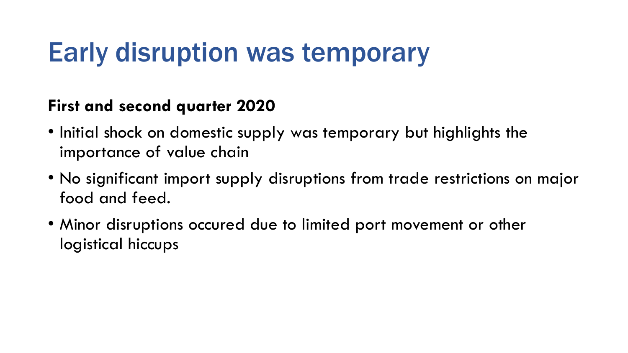#### Early disruption was temporary

#### **First and second quarter 2020**

- Initial shock on domestic supply was temporary but highlights the importance of value chain
- No significant import supply disruptions from trade restrictions on major food and feed.
- Minor disruptions occured due to limited port movement or other logistical hiccups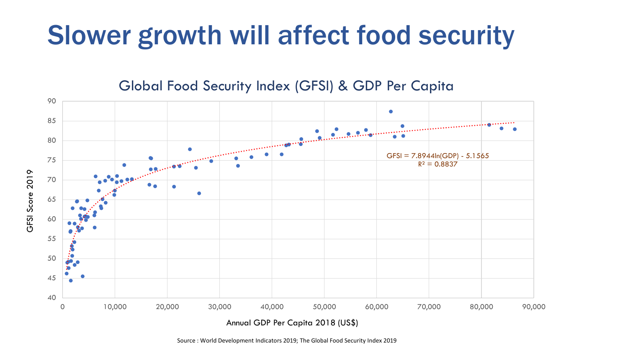## Slower growth will affect food security

Global Food Security Index (GFSI) & GDP Per Capita



Annual GDP Per Capita 2018 (US\$)

Source : World Development Indicators 2019; The Global Food Security Index 2019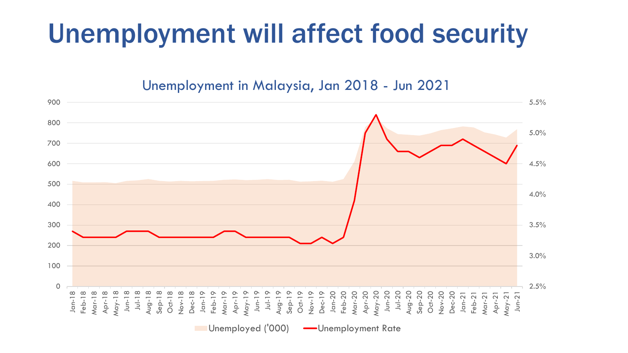### Unemployment will affect food security

Unemployment in Malaysia, Jan 2018 - Jun 2021

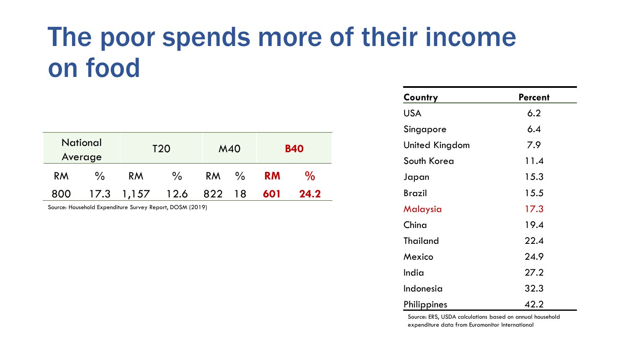#### The poor spends more of their income on food

| <b>National</b><br>Average |               | T <sub>20</sub>       |               | M40       |               | <b>B40</b> |      |
|----------------------------|---------------|-----------------------|---------------|-----------|---------------|------------|------|
| <b>RM</b>                  | $\frac{0}{0}$ | RM                    | $\frac{0}{0}$ | <b>RM</b> | $\frac{0}{0}$ | <b>RM</b>  | $\%$ |
| 800                        |               | $17.3$ $1,157$ $12.6$ |               | 822 18    |               | 601        | 24.2 |

Source: Household Expenditure Survey Report, DOSM (2019)

| Country         | <b>Percent</b> |  |  |  |
|-----------------|----------------|--|--|--|
| <b>USA</b>      | 6.2            |  |  |  |
| Singapore       | 6.4            |  |  |  |
| United Kingdom  | 7.9            |  |  |  |
| South Korea     | 11.4           |  |  |  |
| Japan           | 15.3           |  |  |  |
| Brazil          | 15.5           |  |  |  |
| Malaysia        | 17.3           |  |  |  |
| China           | 19.4           |  |  |  |
| <b>Thailand</b> | 22.4           |  |  |  |
| Mexico          | 24.9           |  |  |  |
| India           | 27.2           |  |  |  |
| Indonesia       | 32.3           |  |  |  |
| Philippines     | 42.2           |  |  |  |

Source: ERS, USDA calculations based on annual household expenditure data from Euromonitor International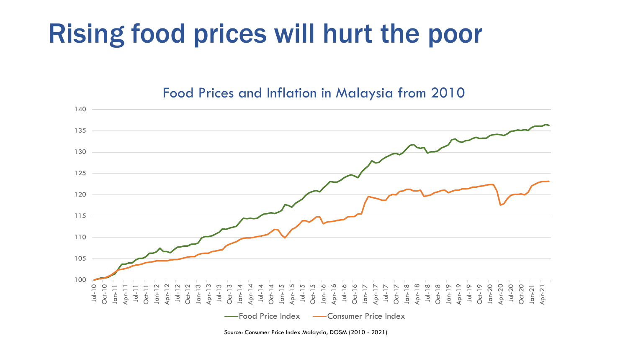#### Rising food prices will hurt the poor

#### Food Prices and Inflation in Malaysia from 2010



Source: Consumer Price Index Malaysia, DOSM (2010 - 2021)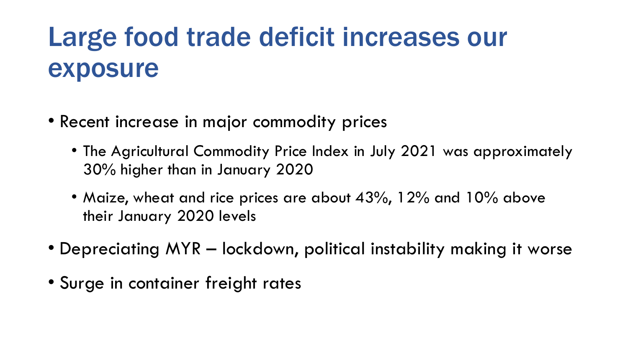### Large food trade deficit increases our exposure

- Recent increase in major commodity prices
	- The Agricultural Commodity Price Index in July 2021 was approximately 30% higher than in January 2020
	- Maize, wheat and rice prices are about 43%, 12% and 10% above their January 2020 levels
- Depreciating MYR lockdown, political instability making it worse
- Surge in container freight rates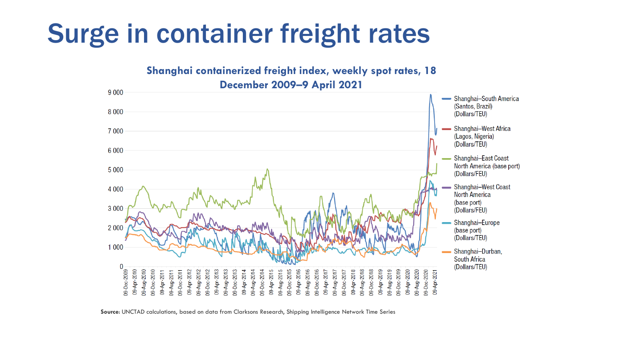#### Surge in container freight rates



Source: UNCTAD calculations, based on data from Clarksons Research, Shipping Intelligence Network Time Series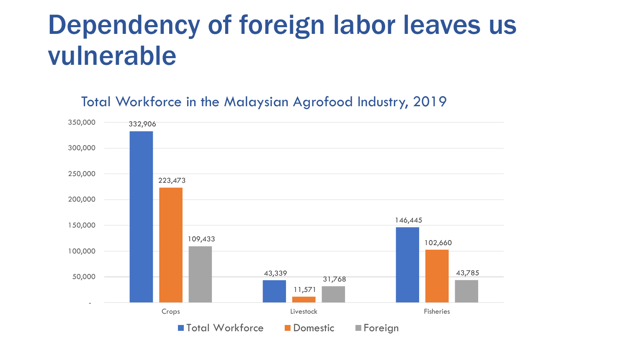#### Dependency of foreign labor leaves us vulnerable

Total Workforce in the Malaysian Agrofood Industry, 2019